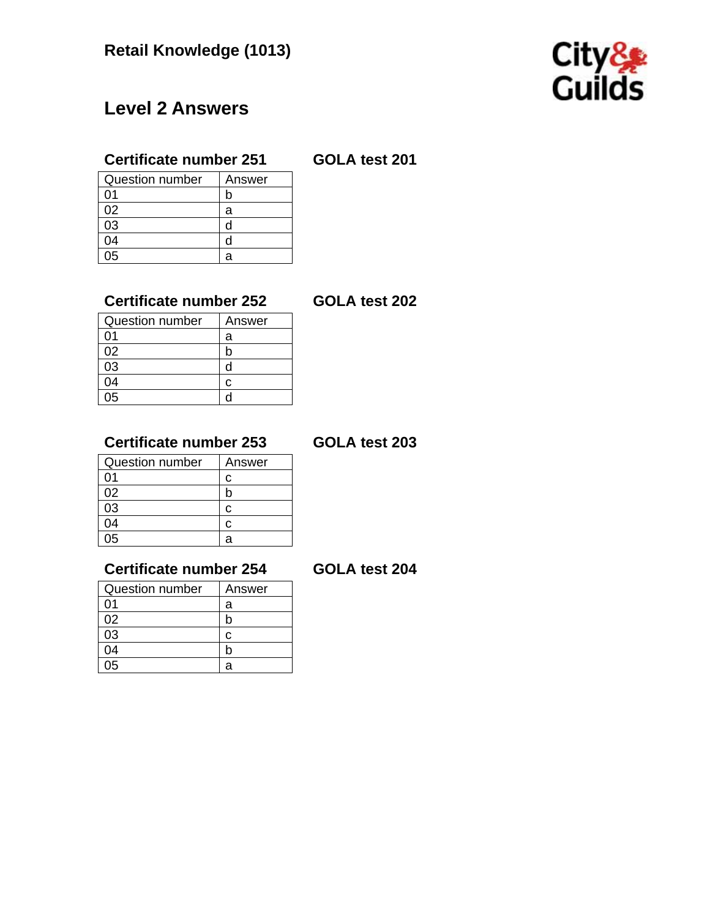

# **Level 2 Answers**

# **Certificate number 251 GOLA test 201**

| <b>Question number</b> | Answer |
|------------------------|--------|
| ი1                     | n      |
| 02                     | а      |
| 03                     | d      |
| 04                     | d      |
| በፍ                     | а      |

# **Certificate number 252 GOLA test 202**

| <b>Question number</b> | Answer |
|------------------------|--------|
| ი1                     | a      |
| 02                     |        |
| 03                     |        |
| 04                     | r.     |
| 05                     |        |

# **Certificate number 253 GOLA test 203**

| <b>Question number</b> | Answer |
|------------------------|--------|
| 01                     | c      |
| 02                     | n      |
| 03                     | c      |
| 04                     | c      |
| በ5                     | а      |

## **Certificate number 254 GOLA test 204**

| <b>Question number</b> | Answer |
|------------------------|--------|
| ი1                     | а      |
| 02                     |        |
| 03                     | c      |
| 04                     |        |
| 05                     | а      |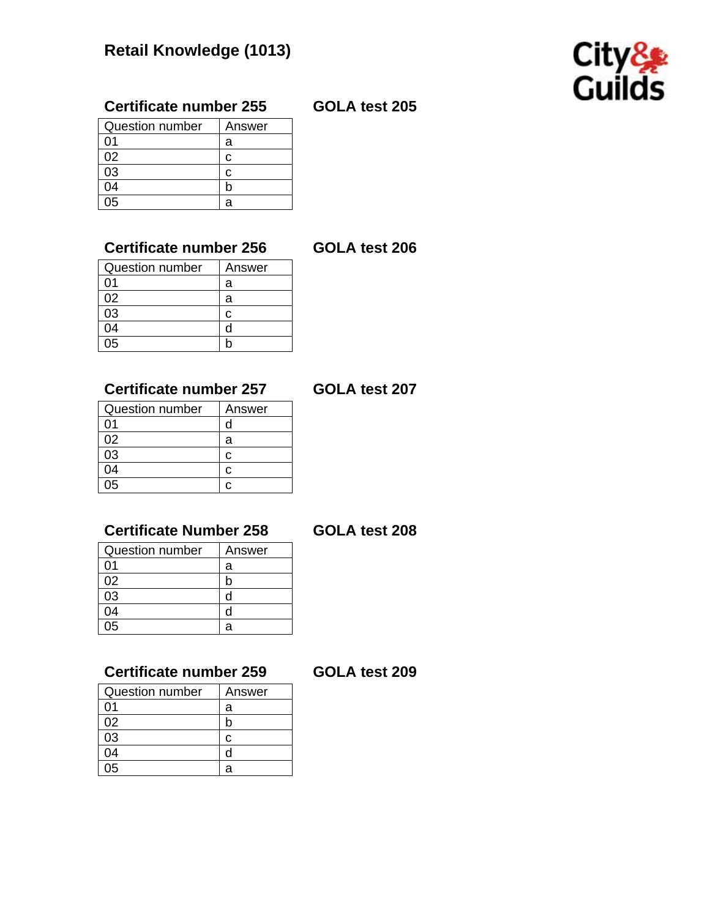

# **Certificate number 255 GOLA test 205**

| <b>Question number</b> | Answer |
|------------------------|--------|
| ሰ1                     | а      |
| 02                     | r.     |
| 03                     | r      |
| NΔ                     |        |
| በ5                     | а      |

## **Certificate number 256 GOLA test 206**

| Question number | Answer |
|-----------------|--------|
| 01              | a      |
| 02              | а      |
| 03              | c      |
| 04              |        |
| ገ5              |        |

### **Certificate number 257 GOLA test 207**

| <b>Question number</b> | Answer |
|------------------------|--------|
| ი1                     | U      |
| 02                     | a      |
| 03                     | c      |
| 04                     | C.     |
| 05                     |        |

# **Certificate Number 258 GOLA test 208**

| າber 258 | <b>GOLA</b> |
|----------|-------------|
| Answer   |             |
|          |             |

| <b>Question number</b> | Answer |
|------------------------|--------|
| ሰ1                     | а      |
| 02                     |        |
| 03                     |        |
| ገ4                     |        |
|                        |        |

# **Certificate number 259 GOLA test 209**

| <b>Question number</b> | Answer |
|------------------------|--------|
| ი1                     | а      |
| 02                     | r      |
| 03                     | c      |
| 04                     | d      |
| ገ5                     | я      |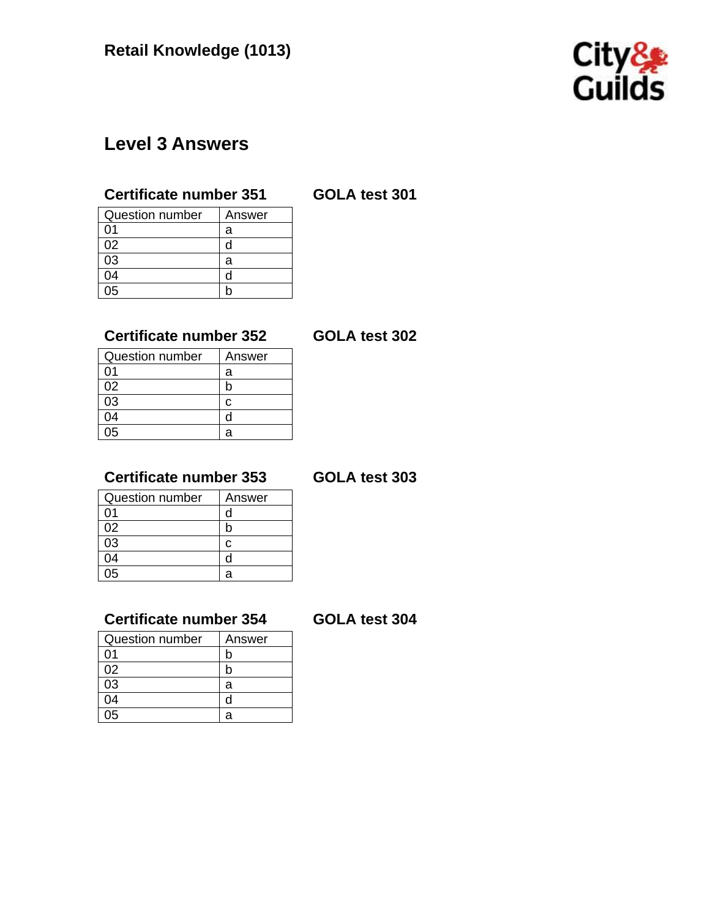

# **Level 3 Answers**

### **Certificate number 351 GOLA test 301**

| <b>Question number</b> | Answer |
|------------------------|--------|
| በ1                     | а      |
| 02                     | d      |
| 03                     | а      |
| 04                     | d      |
| በ5                     |        |

# **Certificate number 352 GOLA test 302**

| <b>Question number</b> | Answer |
|------------------------|--------|
| 01                     | a      |
| 02                     |        |
| 03                     | c      |
| 04                     |        |
| 05                     | а      |

# **Certificate number 353 GOLA test 303**

| <b>Question number</b> | Answer |
|------------------------|--------|
| 01                     |        |
| 02                     |        |
| 03                     | r      |
| 04                     |        |
| በ5                     | а      |

# **Certificate number 354 GOLA test 304**

| <b>Question number</b> | Answer |
|------------------------|--------|
| በ1                     | b      |
| 02                     | n      |
| 03                     | а      |
| 04                     | d      |
| በ5                     | а      |